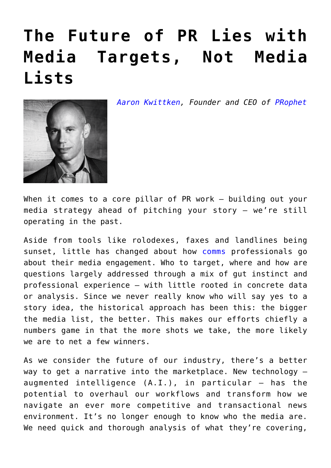## **[The Future of PR Lies with](https://www.commpro.biz/the-future-of-pr-lies-with-media-targets-not-media-lists/) [Media Targets, Not Media](https://www.commpro.biz/the-future-of-pr-lies-with-media-targets-not-media-lists/) [Lists](https://www.commpro.biz/the-future-of-pr-lies-with-media-targets-not-media-lists/)**

*[Aaron Kwittken](https://www.linkedin.com/in/aaronkwittken/), Founder and CEO of [PRophet](https://www.prprophet.ai/)*



When it comes to a core pillar of PR work – building out your media strategy ahead of pitching your story – we're still operating in the past.

Aside from tools like rolodexes, faxes and landlines being sunset, little has changed about how [comms](https://www.commpro.biz/comms-tech/) professionals go about their media engagement. Who to target, where and how are questions largely addressed through a mix of gut instinct and professional experience – with little rooted in concrete data or analysis. Since we never really know who will say yes to a story idea, the historical approach has been this: the bigger the media list, the better. This makes our efforts chiefly a numbers game in that the more shots we take, the more likely we are to net a few winners.

As we consider the future of our industry, there's a better way to get a narrative into the marketplace. New technology – augmented intelligence (A.I.), in particular – has the potential to overhaul our workflows and transform how we navigate an ever more competitive and transactional news environment. It's no longer enough to know who the media are. We need quick and thorough analysis of what they're covering,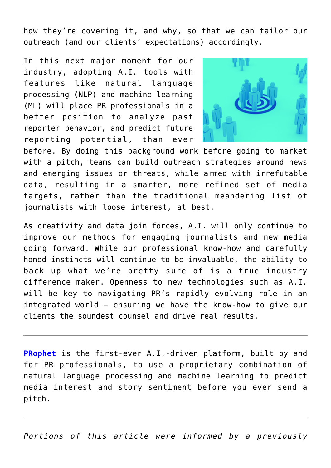how they're covering it, and why, so that we can tailor our outreach (and our clients' expectations) accordingly.

In this next major moment for our industry, adopting A.I. tools with features like natural language processing (NLP) and machine learning (ML) will place PR professionals in a better position to analyze past reporter behavior, and predict future reporting potential, than ever



before. By doing this background work before going to market with a pitch, teams can build outreach strategies around news and emerging issues or threats, while armed with irrefutable data, resulting in a smarter, more refined set of media targets, rather than the traditional meandering list of journalists with loose interest, at best.

As creativity and data join forces, A.I. will only continue to improve our methods for engaging journalists and new media going forward. While our professional know-how and carefully honed instincts will continue to be invaluable, the ability to back up what we're pretty sure of is a true industry difference maker. Openness to new technologies such as A.I. will be key to navigating PR's rapidly evolving role in an integrated world – ensuring we have the know-how to give our clients the soundest counsel and drive real results.

**[PRophet](https://www.prprophet.ai/)** is the first-ever A.I.-driven platform, built by and for PR professionals, to use a proprietary combination of natural language processing and machine learning to predict media interest and story sentiment before you ever send a pitch.

*Portions of this article were informed by a previously*